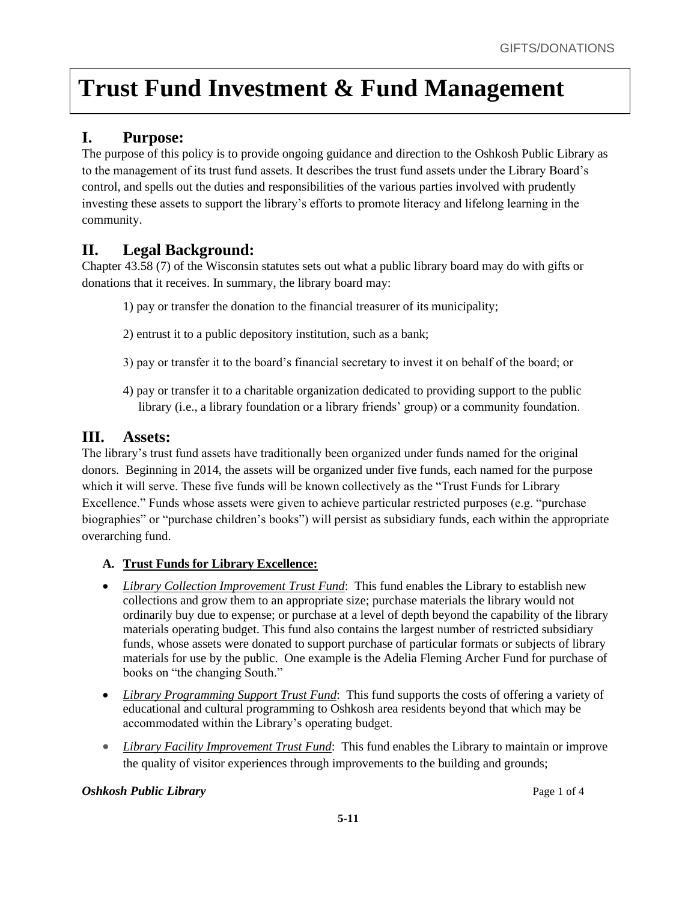## **I. Purpose:**

The purpose of this policy is to provide ongoing guidance and direction to the Oshkosh Public Library as to the management of its trust fund assets. It describes the trust fund assets under the Library Board's control, and spells out the duties and responsibilities of the various parties involved with prudently investing these assets to support the library's efforts to promote literacy and lifelong learning in the community.

### **II. Legal Background:**

Chapter 43.58 (7) of the Wisconsin statutes sets out what a public library board may do with gifts or donations that it receives. In summary, the library board may:

- 1) pay or transfer the donation to the financial treasurer of its municipality;
- 2) entrust it to a public depository institution, such as a bank;
- 3) pay or transfer it to the board's financial secretary to invest it on behalf of the board; or
- 4) pay or transfer it to a charitable organization dedicated to providing support to the public library (i.e., a library foundation or a library friends' group) or a community foundation.

### **III. Assets:**

The library's trust fund assets have traditionally been organized under funds named for the original donors. Beginning in 2014, the assets will be organized under five funds, each named for the purpose which it will serve. These five funds will be known collectively as the "Trust Funds for Library Excellence." Funds whose assets were given to achieve particular restricted purposes (e.g. "purchase biographies" or "purchase children's books") will persist as subsidiary funds, each within the appropriate overarching fund.

#### **A. Trust Funds for Library Excellence:**

- *Library Collection Improvement Trust Fund*: This fund enables the Library to establish new collections and grow them to an appropriate size; purchase materials the library would not ordinarily buy due to expense; or purchase at a level of depth beyond the capability of the library materials operating budget. This fund also contains the largest number of restricted subsidiary funds, whose assets were donated to support purchase of particular formats or subjects of library materials for use by the public. One example is the Adelia Fleming Archer Fund for purchase of books on "the changing South."
- *Library Programming Support Trust Fund*: This fund supports the costs of offering a variety of educational and cultural programming to Oshkosh area residents beyond that which may be accommodated within the Library's operating budget.
- *Library Facility Improvement Trust Fund*: This fund enables the Library to maintain or improve the quality of visitor experiences through improvements to the building and grounds;

#### *Oshkosh Public Library* Page 1 of 4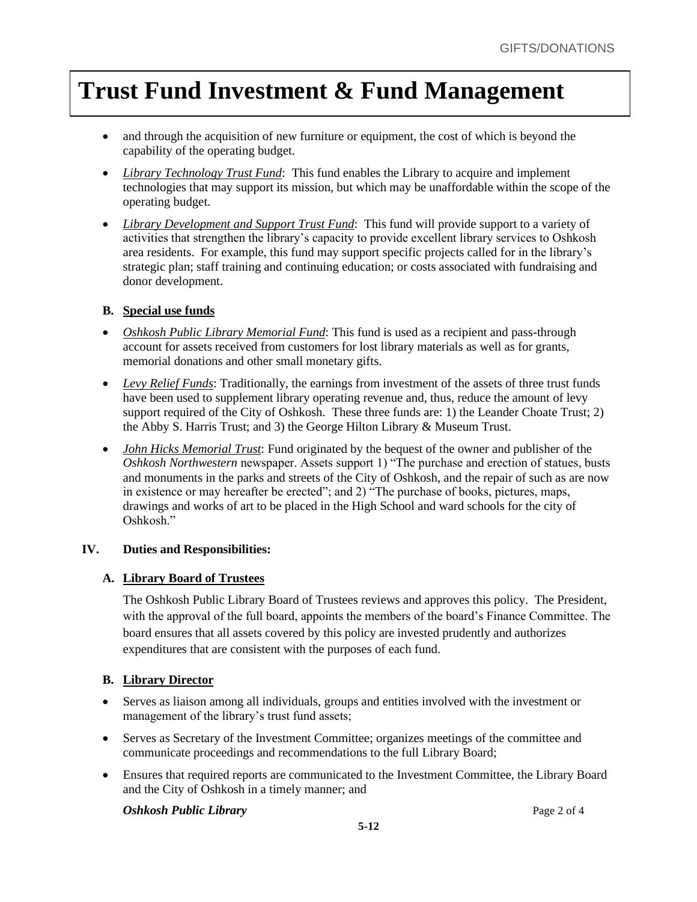- and through the acquisition of new furniture or equipment, the cost of which is beyond the capability of the operating budget.
- *Library Technology Trust Fund*: This fund enables the Library to acquire and implement technologies that may support its mission, but which may be unaffordable within the scope of the operating budget.
- *Library Development and Support Trust Fund*: This fund will provide support to a variety of activities that strengthen the library's capacity to provide excellent library services to Oshkosh area residents. For example, this fund may support specific projects called for in the library's strategic plan; staff training and continuing education; or costs associated with fundraising and donor development.

#### **B. Special use funds**

- *Oshkosh Public Library Memorial Fund*: This fund is used as a recipient and pass-through account for assets received from customers for lost library materials as well as for grants, memorial donations and other small monetary gifts.
- *Levy Relief Funds*: Traditionally, the earnings from investment of the assets of three trust funds have been used to supplement library operating revenue and, thus, reduce the amount of levy support required of the City of Oshkosh. These three funds are: 1) the Leander Choate Trust; 2) the Abby S. Harris Trust; and 3) the George Hilton Library & Museum Trust.
- *John Hicks Memorial Trust*: Fund originated by the bequest of the owner and publisher of the *Oshkosh Northwestern* newspaper. Assets support 1) "The purchase and erection of statues, busts and monuments in the parks and streets of the City of Oshkosh, and the repair of such as are now in existence or may hereafter be erected"; and 2) "The purchase of books, pictures, maps, drawings and works of art to be placed in the High School and ward schools for the city of Oshkosh."

#### **IV. Duties and Responsibilities:**

#### **A. Library Board of Trustees**

The Oshkosh Public Library Board of Trustees reviews and approves this policy. The President, with the approval of the full board, appoints the members of the board's Finance Committee. The board ensures that all assets covered by this policy are invested prudently and authorizes expenditures that are consistent with the purposes of each fund.

#### **B. Library Director**

- Serves as liaison among all individuals, groups and entities involved with the investment or management of the library's trust fund assets;
- Serves as Secretary of the Investment Committee; organizes meetings of the committee and communicate proceedings and recommendations to the full Library Board;
- Ensures that required reports are communicated to the Investment Committee, the Library Board and the City of Oshkosh in a timely manner; and

*Oshkosh Public Library* Page 2 of 4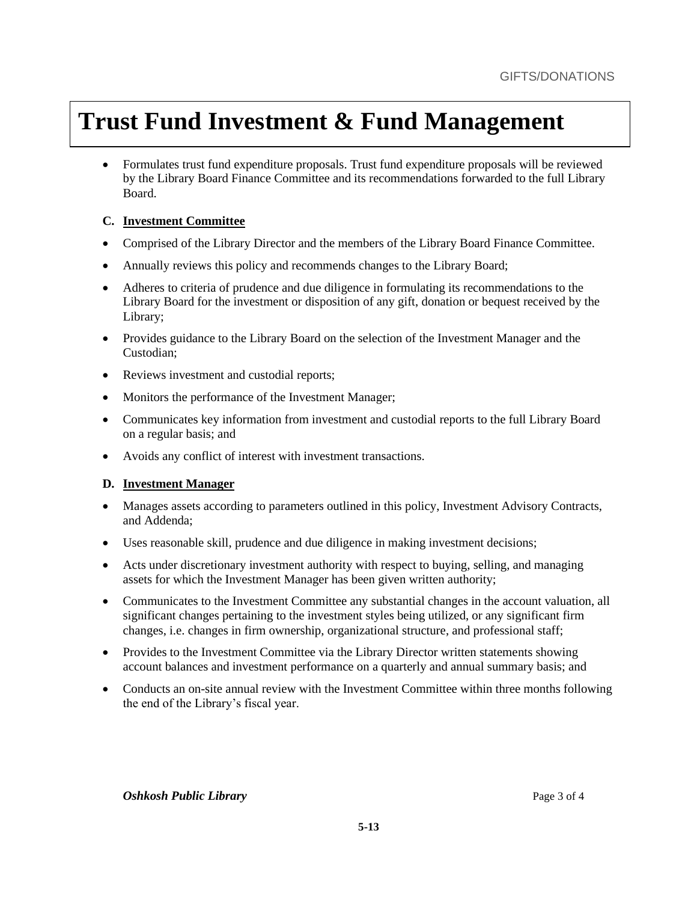• Formulates trust fund expenditure proposals. Trust fund expenditure proposals will be reviewed by the Library Board Finance Committee and its recommendations forwarded to the full Library Board.

#### **C. Investment Committee**

- Comprised of the Library Director and the members of the Library Board Finance Committee.
- Annually reviews this policy and recommends changes to the Library Board;
- Adheres to criteria of prudence and due diligence in formulating its recommendations to the Library Board for the investment or disposition of any gift, donation or bequest received by the Library;
- Provides guidance to the Library Board on the selection of the Investment Manager and the Custodian;
- Reviews investment and custodial reports;
- Monitors the performance of the Investment Manager;
- Communicates key information from investment and custodial reports to the full Library Board on a regular basis; and
- Avoids any conflict of interest with investment transactions.

#### **D. Investment Manager**

- Manages assets according to parameters outlined in this policy, Investment Advisory Contracts, and Addenda;
- Uses reasonable skill, prudence and due diligence in making investment decisions;
- Acts under discretionary investment authority with respect to buying, selling, and managing assets for which the Investment Manager has been given written authority;
- Communicates to the Investment Committee any substantial changes in the account valuation, all significant changes pertaining to the investment styles being utilized, or any significant firm changes, i.e. changes in firm ownership, organizational structure, and professional staff;
- Provides to the Investment Committee via the Library Director written statements showing account balances and investment performance on a quarterly and annual summary basis; and
- Conducts an on-site annual review with the Investment Committee within three months following the end of the Library's fiscal year.